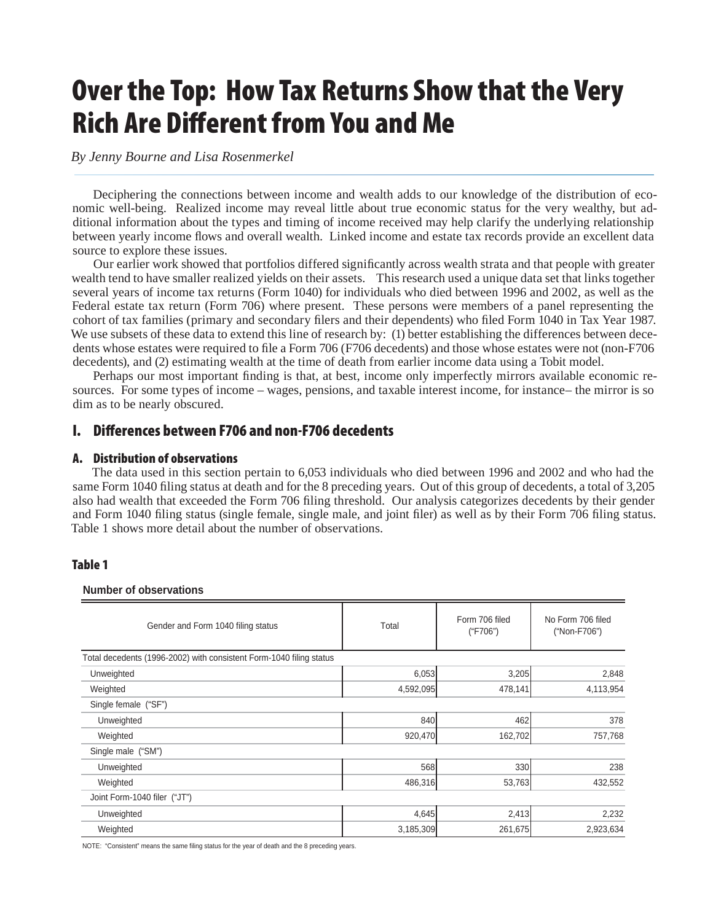# **Over the Top: How Tax Returns Show that the Very Rich Are Different from You and Me**

*By Jenny Bourne and Lisa Rosenmerkel* 

Deciphering the connections between income and wealth adds to our knowledge of the distribution of economic well-being. Realized income may reveal little about true economic status for the very wealthy, but additional information about the types and timing of income received may help clarify the underlying relationship between yearly income flows and overall wealth. Linked income and estate tax records provide an excellent data source to explore these issues.

Our earlier work showed that portfolios differed significantly across wealth strata and that people with greater wealth tend to have smaller realized yields on their assets. This research used a unique data set that links together several years of income tax returns (Form 1040) for individuals who died between 1996 and 2002, as well as the Federal estate tax return (Form 706) where present. These persons were members of a panel representing the cohort of tax families (primary and secondary filers and their dependents) who filed Form 1040 in Tax Year 1987. We use subsets of these data to extend this line of research by: (1) better establishing the differences between decedents whose estates were required to file a Form 706 (F706 decedents) and those whose estates were not (non-F706 decedents), and (2) estimating wealth at the time of death from earlier income data using a Tobit model.

Perhaps our most important finding is that, at best, income only imperfectly mirrors available economic resources. For some types of income – wages, pensions, and taxable interest income, for instance– the mirror is so dim as to be nearly obscured.

# **I. Diff erences between F706 and non-F706 decedents**

## **A. Distribution of observations**

The data used in this section pertain to 6,053 individuals who died between 1996 and 2002 and who had the same Form 1040 filing status at death and for the 8 preceding years. Out of this group of decedents, a total of 3,205 also had wealth that exceeded the Form 706 filing threshold. Our analysis categorizes decedents by their gender and Form 1040 filing status (single female, single male, and joint filer) as well as by their Form 706 filing status. Table 1 shows more detail about the number of observations.

# **Table 1**

**Number of observations**

| Gender and Form 1040 filing status                                  | Total     | Form 706 filed<br>("F706") | No Form 706 filed<br>("Non-F706") |  |  |  |
|---------------------------------------------------------------------|-----------|----------------------------|-----------------------------------|--|--|--|
| Total decedents (1996-2002) with consistent Form-1040 filing status |           |                            |                                   |  |  |  |
| Unweighted                                                          | 6,053     | 3,205                      | 2,848                             |  |  |  |
| Weighted                                                            | 4,592,095 | 478,141                    | 4,113,954                         |  |  |  |
| Single female ("SF")                                                |           |                            |                                   |  |  |  |
| Unweighted                                                          | 840       | 462                        | 378                               |  |  |  |
| Weighted                                                            | 920,470   | 162,702                    | 757,768                           |  |  |  |
| Single male ("SM")                                                  |           |                            |                                   |  |  |  |
| Unweighted                                                          | 568       | 330                        | 238                               |  |  |  |
| Weighted                                                            | 486,316   | 53,763                     | 432,552                           |  |  |  |
| Joint Form-1040 filer ("JT")                                        |           |                            |                                   |  |  |  |
| Unweighted                                                          | 4,645     | 2,413                      | 2,232                             |  |  |  |
| Weighted                                                            | 3,185,309 | 261,675                    | 2,923,634                         |  |  |  |

NOTE: "Consistent" means the same filing status for the year of death and the 8 preceding years.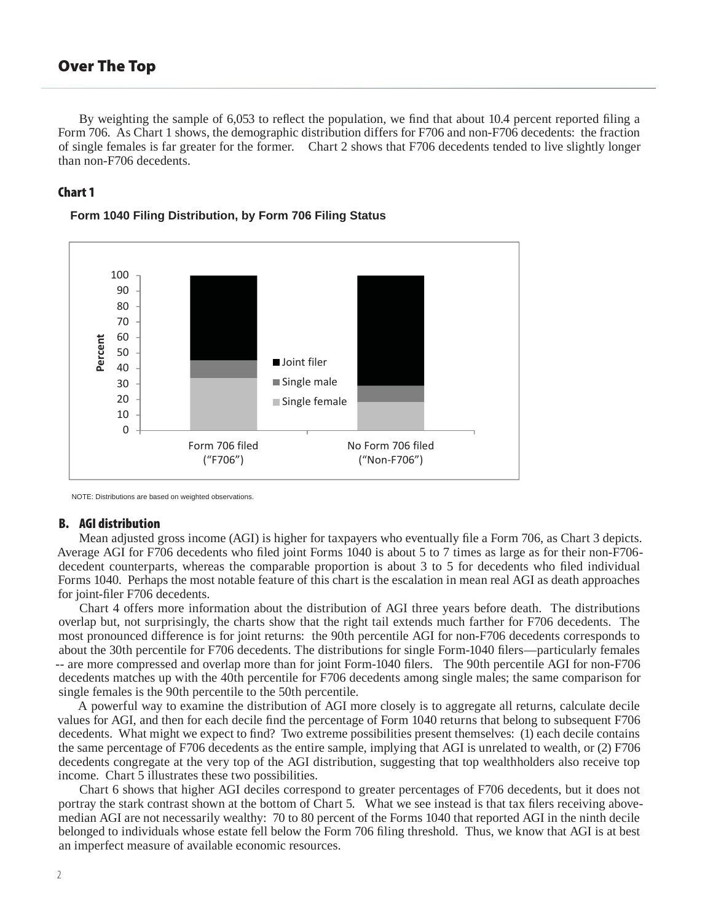By weighting the sample of 6,053 to reflect the population, we find that about 10.4 percent reported filing a Form 706. As Chart 1 shows, the demographic distribution differs for F706 and non-F706 decedents: the fraction of single females is far greater for the former. Chart 2 shows that F706 decedents tended to live slightly longer than non-F706 decedents.

## **Chart 1**



#### **Form 1040 Filing Distribution, by Form 706 Filing Status**

NOTE: Distributions are based on weighted observations.

#### **B. AGI distribution**

Mean adjusted gross income (AGI) is higher for taxpayers who eventually file a Form 706, as Chart 3 depicts. Average AGI for F706 decedents who filed joint Forms 1040 is about 5 to 7 times as large as for their non-F706decedent counterparts, whereas the comparable proportion is about 3 to 5 for decedents who filed individual Forms 1040. Perhaps the most notable feature of this chart is the escalation in mean real AGI as death approaches for joint-filer F706 decedents.

Chart 4 offers more information about the distribution of AGI three years before death. The distributions overlap but, not surprisingly, the charts show that the right tail extends much farther for F706 decedents. The most pronounced difference is for joint returns: the 90th percentile AGI for non-F706 decedents corresponds to about the 30th percentile for F706 decedents. The distributions for single Form-1040 filers—particularly females -- are more compressed and overlap more than for joint Form-1040 filers. The 90th percentile AGI for non-F706 decedents matches up with the 40th percentile for F706 decedents among single males; the same comparison for single females is the 90th percentile to the 50th percentile.

A powerful way to examine the distribution of AGI more closely is to aggregate all returns, calculate decile values for AGI, and then for each decile find the percentage of Form 1040 returns that belong to subsequent F706 decedents. What might we expect to find? Two extreme possibilities present themselves: (1) each decile contains the same percentage of F706 decedents as the entire sample, implying that AGI is unrelated to wealth, or (2) F706 decedents congregate at the very top of the AGI distribution, suggesting that top wealthholders also receive top income. Chart 5 illustrates these two possibilities.

Chart 6 shows that higher AGI deciles correspond to greater percentages of F706 decedents, but it does not portray the stark contrast shown at the bottom of Chart 5. What we see instead is that tax filers receiving abovemedian AGI are not necessarily wealthy: 70 to 80 percent of the Forms 1040 that reported AGI in the ninth decile belonged to individuals whose estate fell below the Form 706 filing threshold. Thus, we know that AGI is at best an imperfect measure of available economic resources.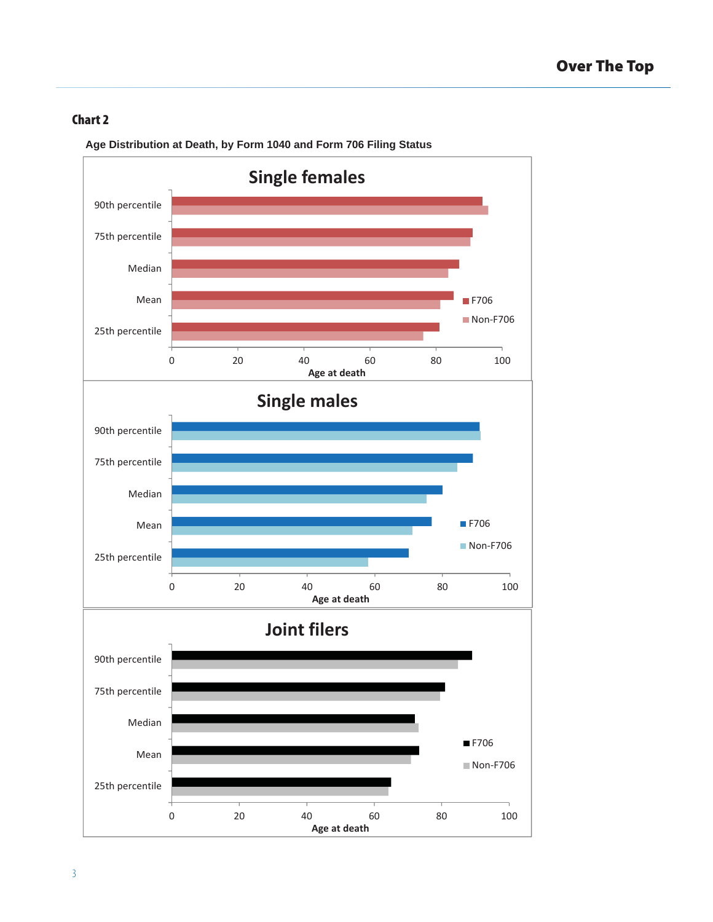

**Age Distribution at Death, by Form 1040 and Form 706 Filing Status**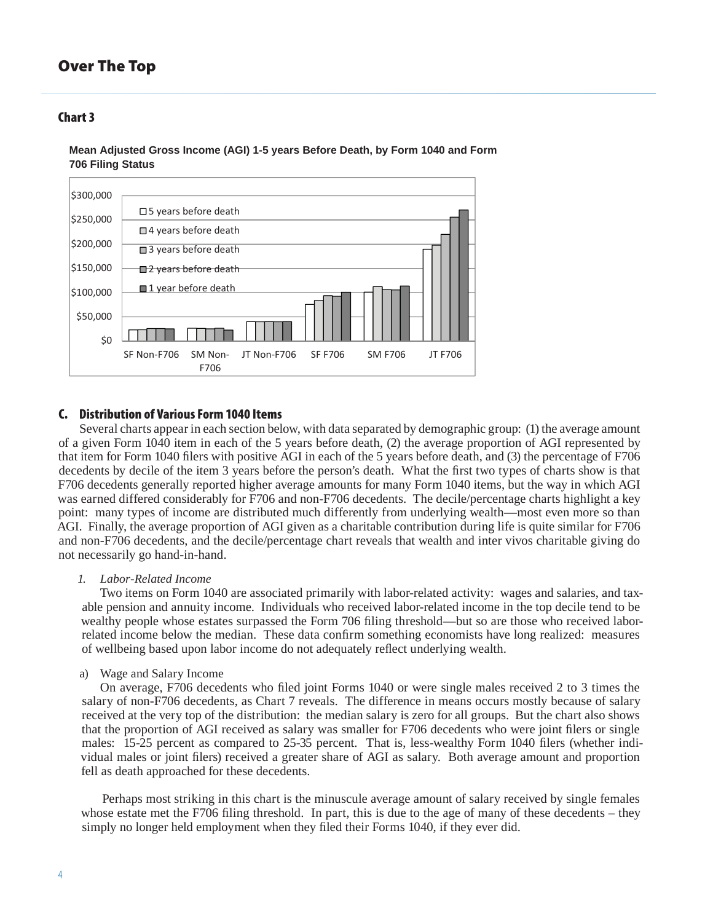## **Chart 3**



**Mean Adjusted Gross Income (AGI) 1-5 years Before Death, by Form 1040 and Form 706 Filing Status**

#### **C. Distribution of Various Form 1040 Items**

Several charts appear in each section below, with data separated by demographic group: (1) the average amount of a given Form 1040 item in each of the 5 years before death, (2) the average proportion of AGI represented by that item for Form 1040 filers with positive AGI in each of the 5 years before death, and (3) the percentage of F706 decedents by decile of the item 3 years before the person's death. What the first two types of charts show is that F706 decedents generally reported higher average amounts for many Form 1040 items, but the way in which AGI was earned differed considerably for F706 and non-F706 decedents. The decile/percentage charts highlight a key point: many types of income are distributed much differently from underlying wealth—most even more so than AGI. Finally, the average proportion of AGI given as a charitable contribution during life is quite similar for F706 and non-F706 decedents, and the decile/percentage chart reveals that wealth and inter vivos charitable giving do not necessarily go hand-in-hand.

#### *1. Labor-Related Income*

 Two items on Form 1040 are associated primarily with labor-related activity: wages and salaries, and taxable pension and annuity income. Individuals who received labor-related income in the top decile tend to be wealthy people whose estates surpassed the Form 706 filing threshold—but so are those who received laborrelated income below the median. These data confirm something economists have long realized: measures of wellbeing based upon labor income do not adequately reflect underlying wealth.

a) Wage and Salary Income

On average, F706 decedents who filed joint Forms 1040 or were single males received 2 to 3 times the salary of non-F706 decedents, as Chart 7 reveals. The difference in means occurs mostly because of salary received at the very top of the distribution: the median salary is zero for all groups. But the chart also shows that the proportion of AGI received as salary was smaller for F706 decedents who were joint filers or single males: 15-25 percent as compared to 25-35 percent. That is, less-wealthy Form 1040 filers (whether individual males or joint filers) received a greater share of AGI as salary. Both average amount and proportion fell as death approached for these decedents.

Perhaps most striking in this chart is the minuscule average amount of salary received by single females whose estate met the F706 filing threshold. In part, this is due to the age of many of these decedents – they simply no longer held employment when they filed their Forms 1040, if they ever did.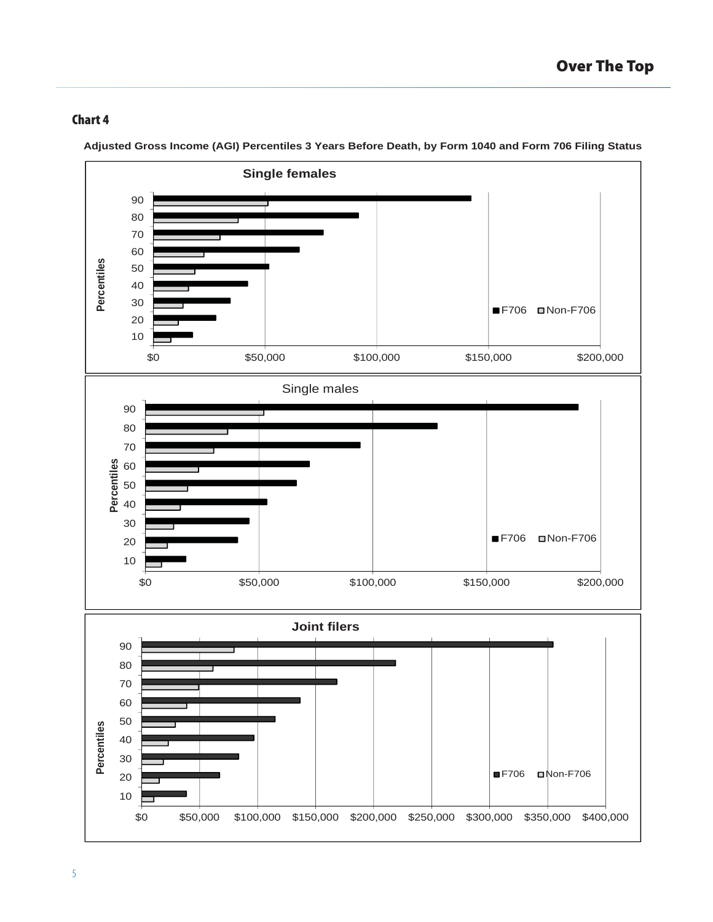

**Adjusted Gross Income (AGI) Percentiles 3 Years Before Death, by Form 1040 and Form 706 Filing Status**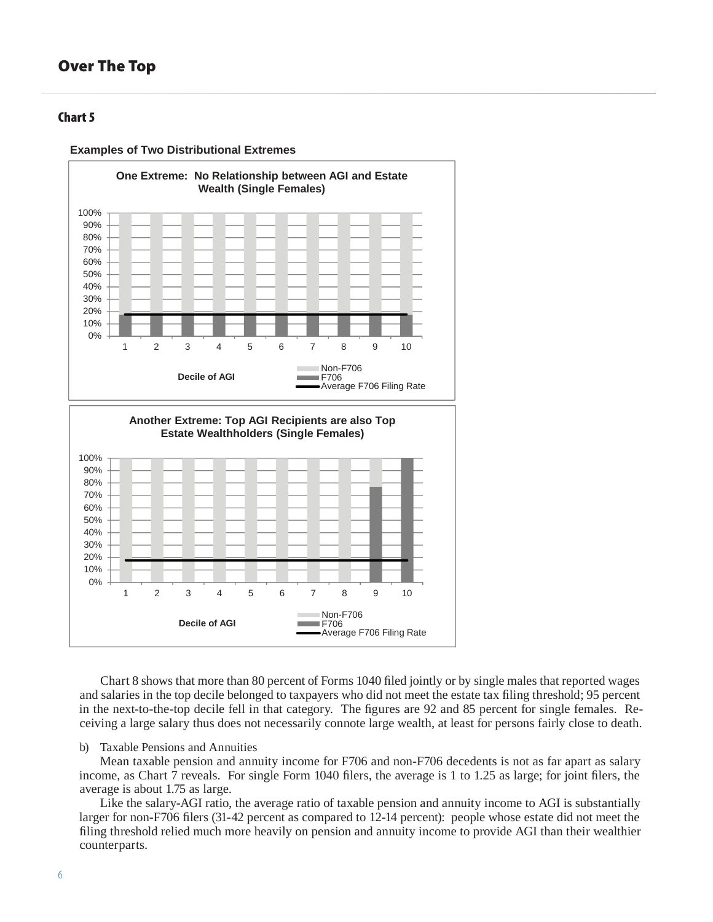## **Chart 5**





Chart 8 shows that more than 80 percent of Forms 1040 filed jointly or by single males that reported wages and salaries in the top decile belonged to taxpayers who did not meet the estate tax filing threshold; 95 percent in the next-to-the-top decile fell in that category. The figures are 92 and 85 percent for single females. Receiving a large salary thus does not necessarily connote large wealth, at least for persons fairly close to death.

#### b) Taxable Pensions and Annuities

Mean taxable pension and annuity income for F706 and non-F706 decedents is not as far apart as salary income, as Chart 7 reveals. For single Form  $1040$  filers, the average is 1 to 1.25 as large; for joint filers, the average is about 1.75 as large.

Like the salary-AGI ratio, the average ratio of taxable pension and annuity income to AGI is substantially larger for non-F706 filers (31-42 percent as compared to 12-14 percent): people whose estate did not meet the filing threshold relied much more heavily on pension and annuity income to provide AGI than their wealthier counterparts.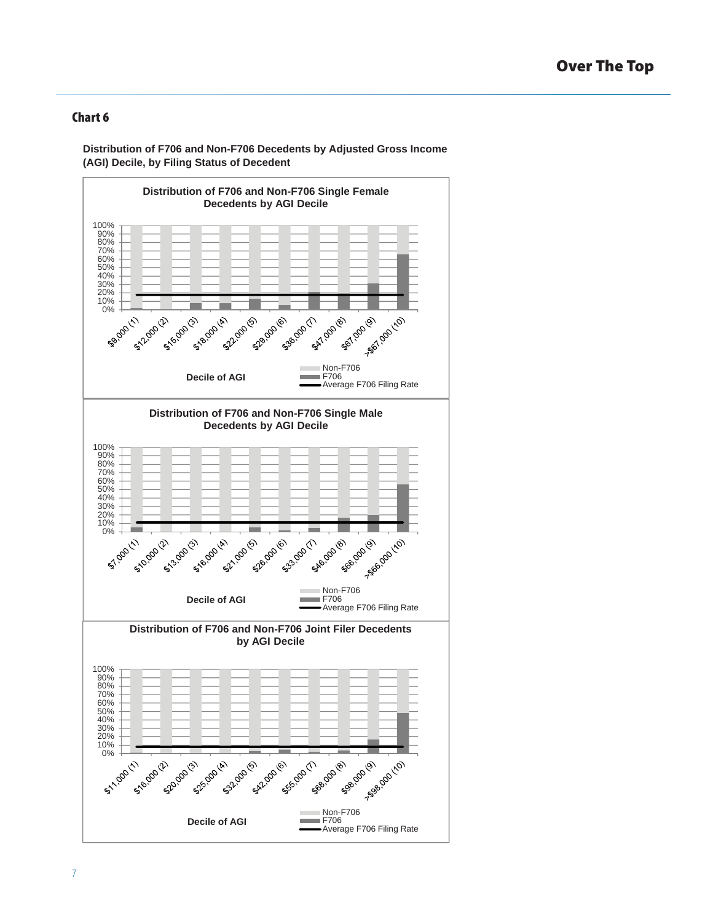**Distribution of F706 and Non-F706 Decedents by Adjusted Gross Income (AGI) Decile, by Filing Status of Decedent**

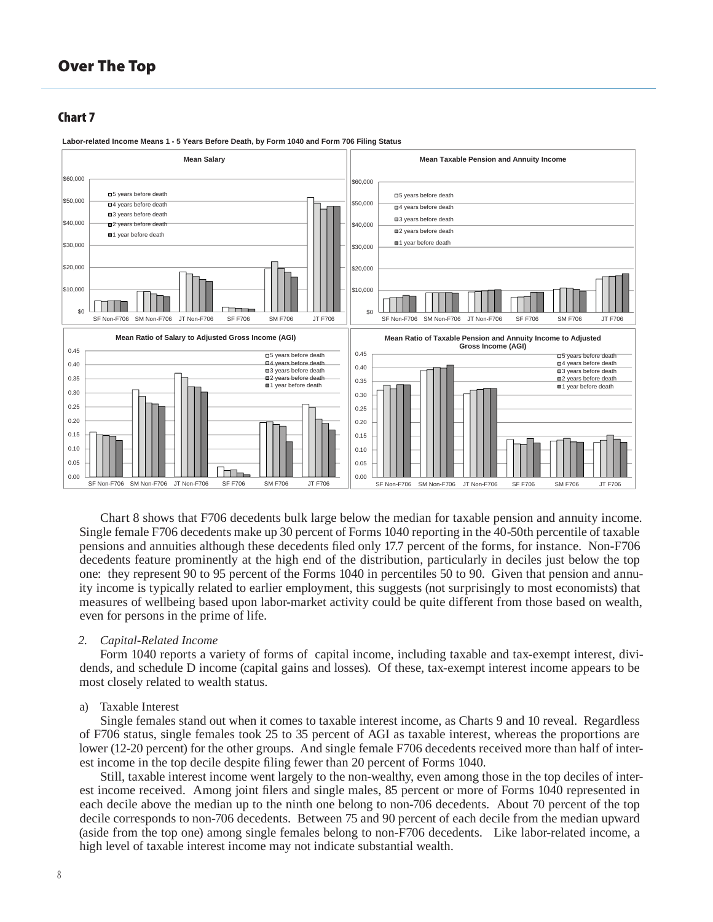#### **Chart 7**



**Labor-related Income Means 1 - 5 Years Before Death, by Form 1040 and Form 706 Filing Status**

Chart 8 shows that F706 decedents bulk large below the median for taxable pension and annuity income. Single female F706 decedents make up 30 percent of Forms 1040 reporting in the 40-50th percentile of taxable pensions and annuities although these decedents filed only 17.7 percent of the forms, for instance. Non-F706 decedents feature prominently at the high end of the distribution, particularly in deciles just below the top one: they represent 90 to 95 percent of the Forms 1040 in percentiles 50 to 90. Given that pension and annuity income is typically related to earlier employment, this suggests (not surprisingly to most economists) that measures of wellbeing based upon labor-market activity could be quite different from those based on wealth, even for persons in the prime of life.

#### *2. Capital-Related Income*

Form 1040 reports a variety of forms of capital income, including taxable and tax-exempt interest, dividends, and schedule D income (capital gains and losses). Of these, tax-exempt interest income appears to be most closely related to wealth status.

#### a) Taxable Interest

Single females stand out when it comes to taxable interest income, as Charts 9 and 10 reveal. Regardless of F706 status, single females took 25 to 35 percent of AGI as taxable interest, whereas the proportions are lower (12-20 percent) for the other groups. And single female F706 decedents received more than half of interest income in the top decile despite filing fewer than 20 percent of Forms 1040.

Still, taxable interest income went largely to the non-wealthy, even among those in the top deciles of interest income received. Among joint filers and single males, 85 percent or more of Forms 1040 represented in each decile above the median up to the ninth one belong to non-706 decedents. About 70 percent of the top decile corresponds to non-706 decedents. Between 75 and 90 percent of each decile from the median upward (aside from the top one) among single females belong to non-F706 decedents. Like labor-related income, a high level of taxable interest income may not indicate substantial wealth.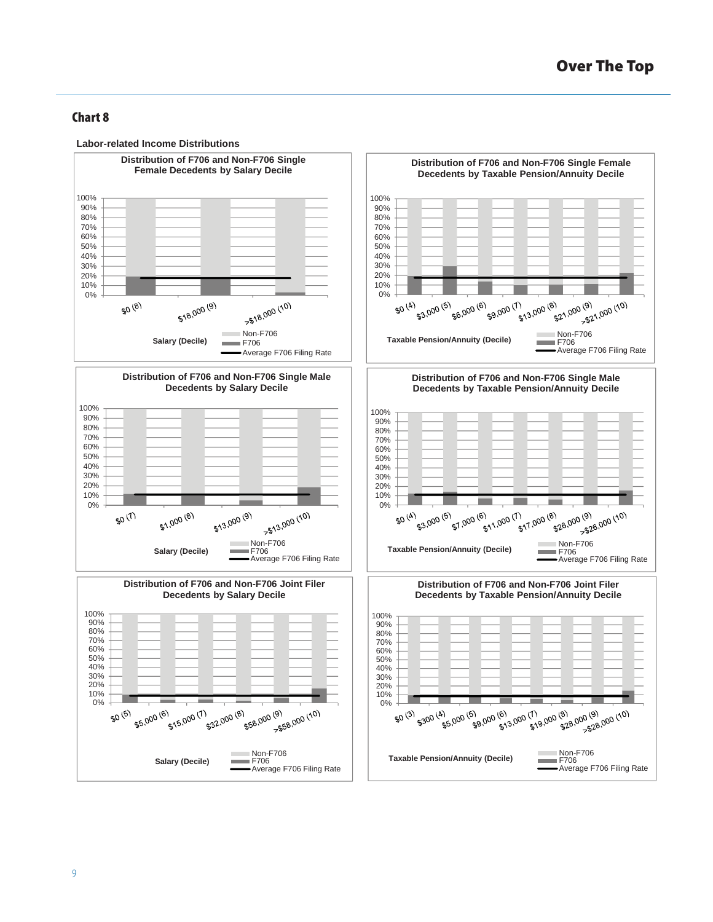

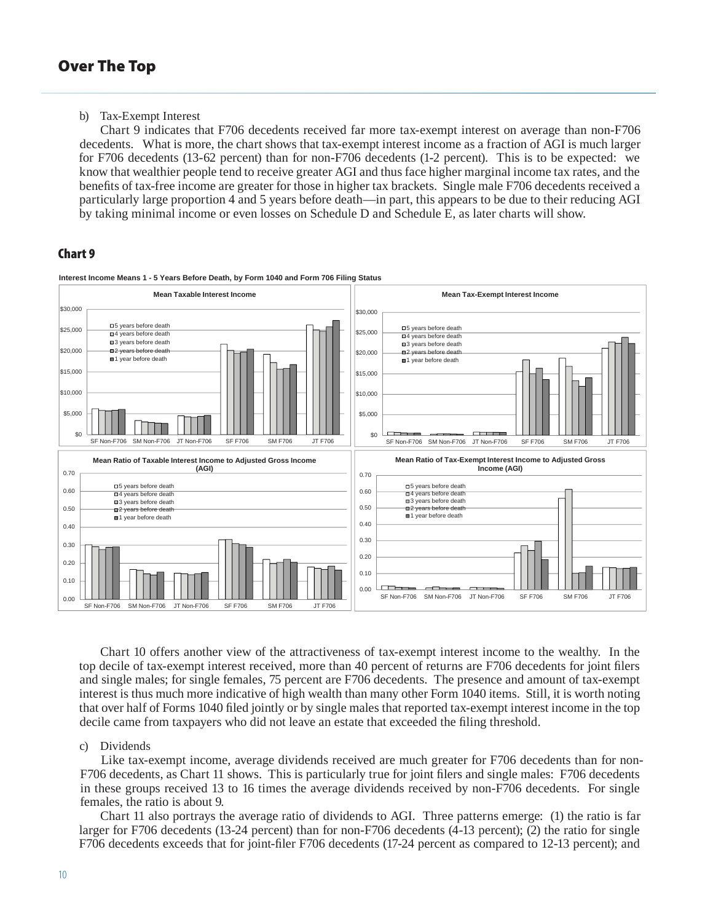b) Tax-Exempt Interest

Chart 9 indicates that F706 decedents received far more tax-exempt interest on average than non-F706 decedents. What is more, the chart shows that tax-exempt interest income as a fraction of AGI is much larger for F706 decedents (13-62 percent) than for non-F706 decedents (1-2 percent). This is to be expected: we know that wealthier people tend to receive greater AGI and thus face higher marginal income tax rates, and the benefits of tax-free income are greater for those in higher tax brackets. Single male F706 decedents received a particularly large proportion 4 and 5 years before death—in part, this appears to be due to their reducing AGI by taking minimal income or even losses on Schedule D and Schedule E, as later charts will show.

## **Chart 9**



**Interest Income Means 1 - 5 Years Before Death, by Form 1040 and Form 706 Filing Status**

Chart 10 offers another view of the attractiveness of tax-exempt interest income to the wealthy. In the top decile of tax-exempt interest received, more than 40 percent of returns are F706 decedents for joint filers and single males; for single females, 75 percent are F706 decedents. The presence and amount of tax-exempt interest is thus much more indicative of high wealth than many other Form 1040 items. Still, it is worth noting that over half of Forms 1040 filed jointly or by single males that reported tax-exempt interest income in the top decile came from taxpayers who did not leave an estate that exceeded the filing threshold.

#### c) Dividends

Like tax-exempt income, average dividends received are much greater for F706 decedents than for non-F706 decedents, as Chart 11 shows. This is particularly true for joint filers and single males: F706 decedents in these groups received 13 to 16 times the average dividends received by non-F706 decedents. For single females, the ratio is about 9.

Chart 11 also portrays the average ratio of dividends to AGI. Three patterns emerge: (1) the ratio is far larger for F706 decedents (13-24 percent) than for non-F706 decedents (4-13 percent); (2) the ratio for single F706 decedents exceeds that for joint-filer F706 decedents (17-24 percent as compared to 12-13 percent); and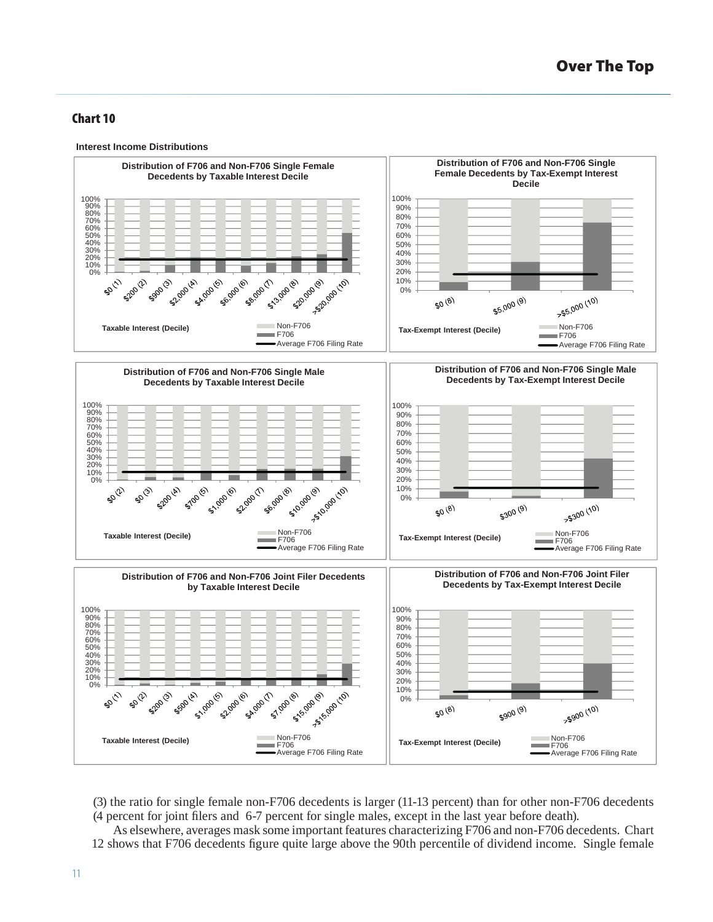



- (3) the ratio for single female non-F706 decedents is larger (11-13 percent) than for other non-F706 decedents (4 percent for joint filers and 6-7 percent for single males, except in the last year before death).
- As elsewhere, averages mask some important features characterizing F706 and non-F706 decedents. Chart 12 shows that F706 decedents figure quite large above the 90th percentile of dividend income. Single female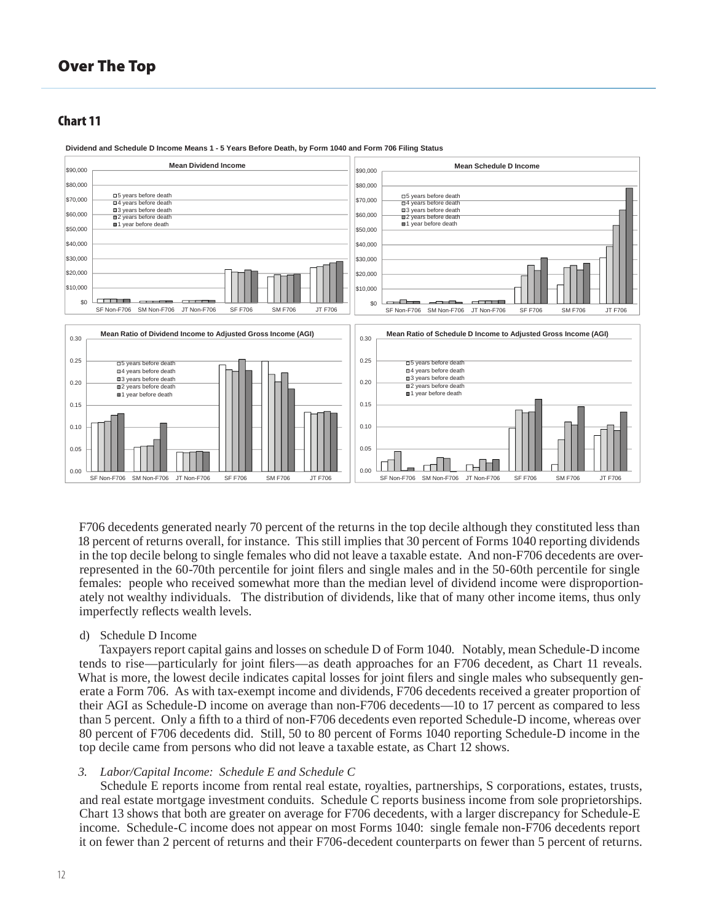#### **Chart 11**



**Dividend and Schedule D Income Means 1 - 5 Years Before Death, by Form 1040 and Form 706 Filing Status**

F706 decedents generated nearly 70 percent of the returns in the top decile although they constituted less than 18 percent of returns overall, for instance. This still implies that 30 percent of Forms 1040 reporting dividends in the top decile belong to single females who did not leave a taxable estate. And non-F706 decedents are overrepresented in the 60-70th percentile for joint filers and single males and in the 50-60th percentile for single females: people who received somewhat more than the median level of dividend income were disproportionately not wealthy individuals. The distribution of dividends, like that of many other income items, thus only imperfectly reflects wealth levels.

#### d) Schedule D Income

Taxpayers report capital gains and losses on schedule D of Form 1040. Notably, mean Schedule-D income tends to rise—particularly for joint filers—as death approaches for an F706 decedent, as Chart 11 reveals. What is more, the lowest decile indicates capital losses for joint filers and single males who subsequently generate a Form 706. As with tax-exempt income and dividends, F706 decedents received a greater proportion of their AGI as Schedule-D income on average than non-F706 decedents—10 to 17 percent as compared to less than 5 percent. Only a fifth to a third of non-F706 decedents even reported Schedule-D income, whereas over 80 percent of F706 decedents did. Still, 50 to 80 percent of Forms 1040 reporting Schedule-D income in the top decile came from persons who did not leave a taxable estate, as Chart 12 shows.

#### *3. Labor/Capital Income: Schedule E and Schedule C*

Schedule E reports income from rental real estate, royalties, partnerships, S corporations, estates, trusts, and real estate mortgage investment conduits. Schedule C reports business income from sole proprietorships. Chart 13 shows that both are greater on average for F706 decedents, with a larger discrepancy for Schedule-E income. Schedule-C income does not appear on most Forms 1040: single female non-F706 decedents report it on fewer than 2 percent of returns and their F706-decedent counterparts on fewer than 5 percent of returns.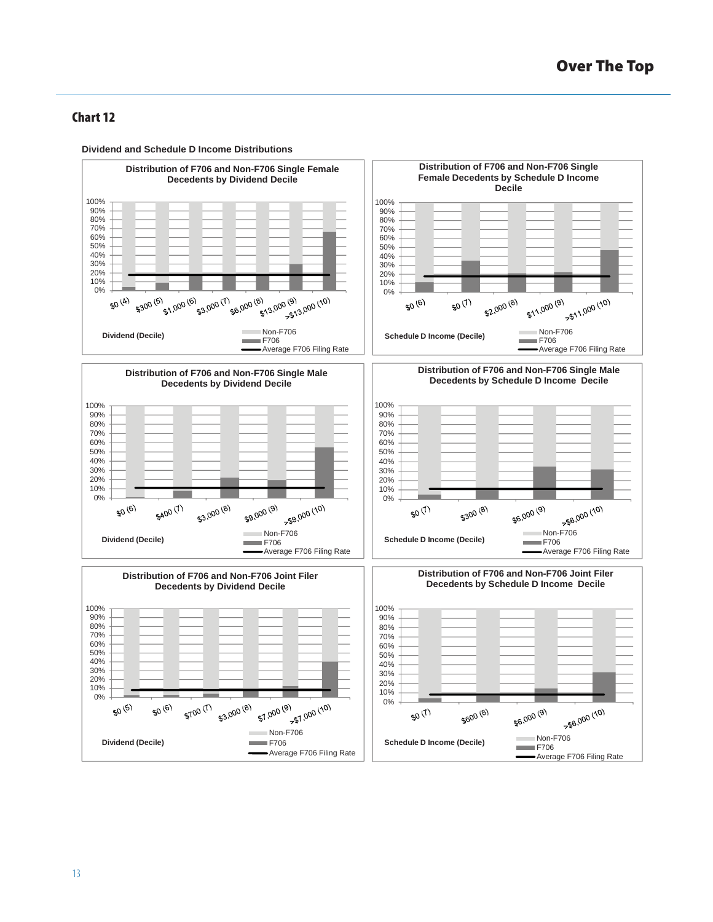

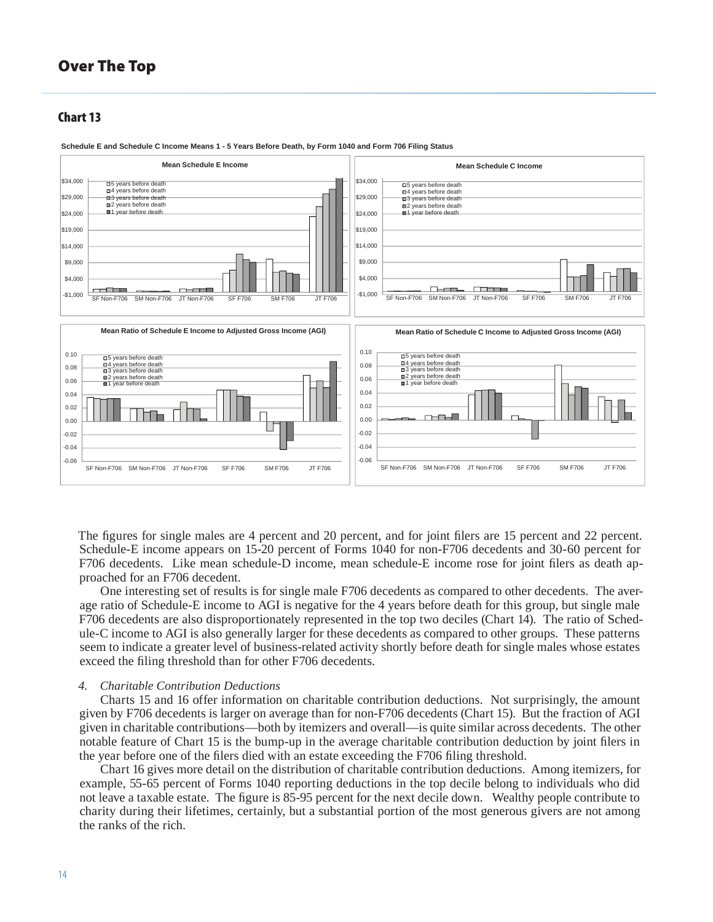#### **Chart 13**



**Schedule E and Schedule C Income Means 1 - 5 Years Before Death, by Form 1040 and Form 706 Filing Status**

The figures for single males are 4 percent and 20 percent, and for joint filers are 15 percent and 22 percent. Schedule-E income appears on 15-20 percent of Forms 1040 for non-F706 decedents and 30-60 percent for F706 decedents. Like mean schedule-D income, mean schedule-E income rose for joint filers as death approached for an F706 decedent.

One interesting set of results is for single male F706 decedents as compared to other decedents. The average ratio of Schedule-E income to AGI is negative for the 4 years before death for this group, but single male F706 decedents are also disproportionately represented in the top two deciles (Chart 14). The ratio of Schedule-C income to AGI is also generally larger for these decedents as compared to other groups. These patterns seem to indicate a greater level of business-related activity shortly before death for single males whose estates exceed the filing threshold than for other F706 decedents.

#### *4. Charitable Contribution Deductions*

Charts 15 and 16 offer information on charitable contribution deductions. Not surprisingly, the amount given by F706 decedents is larger on average than for non-F706 decedents (Chart 15). But the fraction of AGI given in charitable contributions—both by itemizers and overall—is quite similar across decedents. The other notable feature of Chart 15 is the bump-up in the average charitable contribution deduction by joint filers in the year before one of the filers died with an estate exceeding the F706 filing threshold.

Chart 16 gives more detail on the distribution of charitable contribution deductions. Among itemizers, for example, 55-65 percent of Forms 1040 reporting deductions in the top decile belong to individuals who did not leave a taxable estate. The figure is 85-95 percent for the next decile down. Wealthy people contribute to charity during their lifetimes, certainly, but a substantial portion of the most generous givers are not among the ranks of the rich.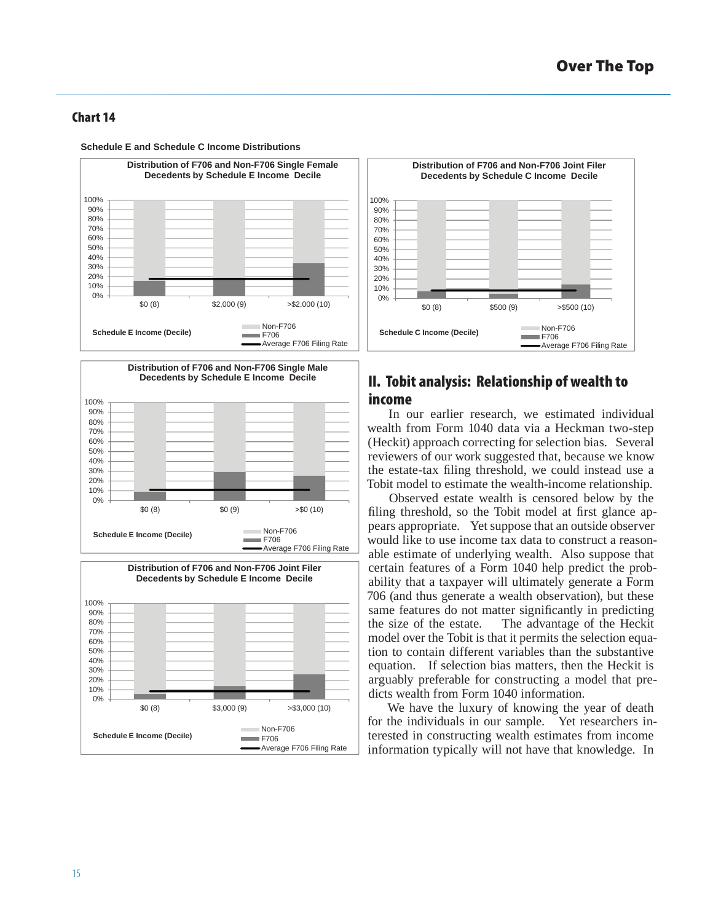

**Schedule E and Schedule C Income Distributions**

**Distribution of F706 and Non-F706 Single Male Decedents by Schedule E Income Decile** 100% 90% 80% 70% 60% 50% 40% 30% 20% 10%  $0\%$  $$0 (8)$   $$0 (9)$   $>$0 (10)$ Non-F706 **Schedule E Income (Decile)** m.  $F706$ Average F706 Filing Rate





# **II. Tobit analysis: Relationship of wealth to income**

In our earlier research, we estimated individual wealth from Form 1040 data via a Heckman two-step (Heckit) approach correcting for selection bias. Several reviewers of our work suggested that, because we know the estate-tax filing threshold, we could instead use a Tobit model to estimate the wealth-income relationship.

Observed estate wealth is censored below by the filing threshold, so the Tobit model at first glance appears appropriate. Yet suppose that an outside observer would like to use income tax data to construct a reasonable estimate of underlying wealth. Also suppose that certain features of a Form 1040 help predict the probability that a taxpayer will ultimately generate a Form 706 (and thus generate a wealth observation), but these same features do not matter significantly in predicting the size of the estate. The advantage of the Heckit model over the Tobit is that it permits the selection equation to contain different variables than the substantive equation. If selection bias matters, then the Heckit is arguably preferable for constructing a model that predicts wealth from Form 1040 information.

We have the luxury of knowing the year of death for the individuals in our sample. Yet researchers interested in constructing wealth estimates from income information typically will not have that knowledge. In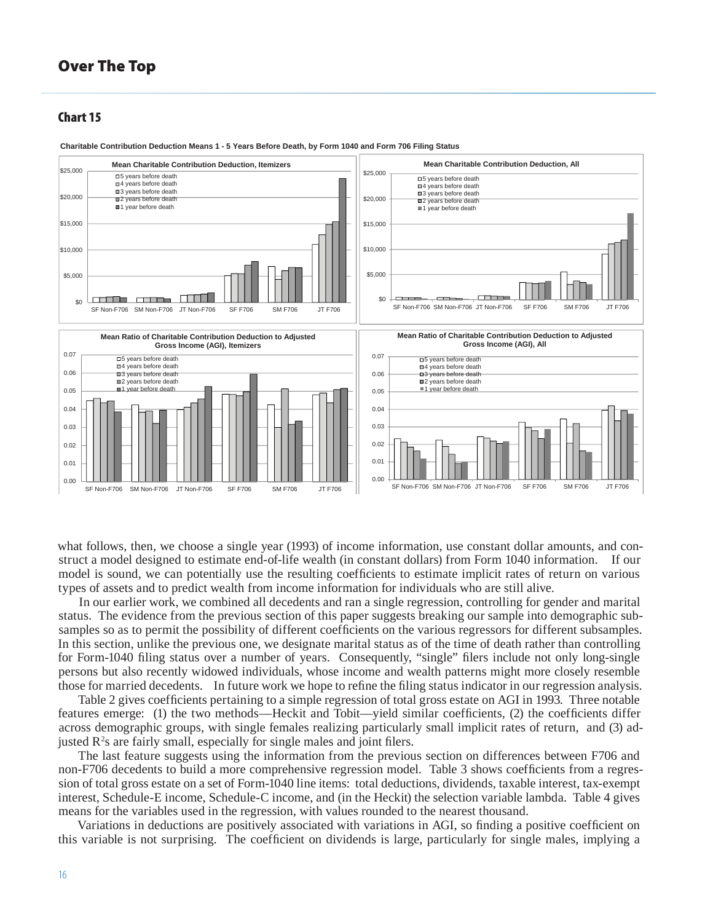#### **Chart 15**



**Charitable Contribution Deduction Means 1 - 5 Years Before Death, by Form 1040 and Form 706 Filing Status**

what follows, then, we choose a single year (1993) of income information, use constant dollar amounts, and construct a model designed to estimate end-of-life wealth (in constant dollars) from Form 1040 information. If our model is sound, we can potentially use the resulting coefficients to estimate implicit rates of return on various types of assets and to predict wealth from income information for individuals who are still alive.

In our earlier work, we combined all decedents and ran a single regression, controlling for gender and marital status. The evidence from the previous section of this paper suggests breaking our sample into demographic subsamples so as to permit the possibility of different coefficients on the various regressors for different subsamples. In this section, unlike the previous one, we designate marital status as of the time of death rather than controlling for Form-1040 filing status over a number of years. Consequently, "single" filers include not only long-single persons but also recently widowed individuals, whose income and wealth patterns might more closely resemble those for married decedents. In future work we hope to refine the filing status indicator in our regression analysis.

Table 2 gives coefficients pertaining to a simple regression of total gross estate on AGI in 1993. Three notable features emerge: (1) the two methods—Heckit and Tobit—yield similar coefficients, (2) the coefficients differ across demographic groups, with single females realizing particularly small implicit rates of return, and (3) adjusted  $R<sup>2</sup>s$  are fairly small, especially for single males and joint filers.

The last feature suggests using the information from the previous section on differences between F706 and non-F706 decedents to build a more comprehensive regression model. Table 3 shows coefficients from a regression of total gross estate on a set of Form-1040 line items: total deductions, dividends, taxable interest, tax-exempt interest, Schedule-E income, Schedule-C income, and (in the Heckit) the selection variable lambda. Table 4 gives means for the variables used in the regression, with values rounded to the nearest thousand.

Variations in deductions are positively associated with variations in AGI, so finding a positive coefficient on this variable is not surprising. The coefficient on dividends is large, particularly for single males, implying a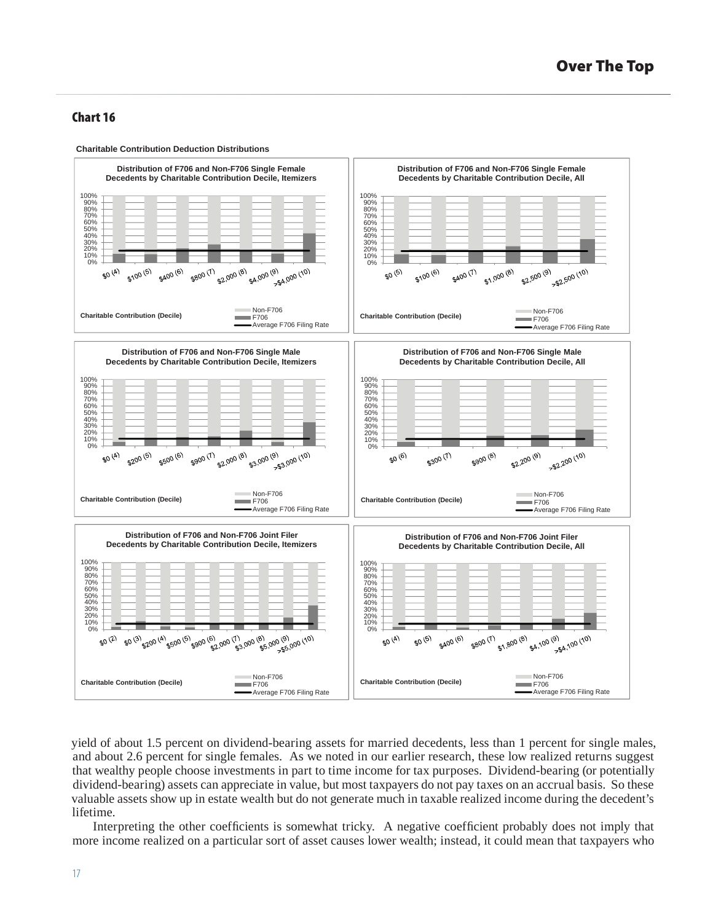

yield of about 1.5 percent on dividend-bearing assets for married decedents, less than 1 percent for single males, and about 2.6 percent for single females. As we noted in our earlier research, these low realized returns suggest that wealthy people choose investments in part to time income for tax purposes. Dividend-bearing (or potentially dividend-bearing) assets can appreciate in value, but most taxpayers do not pay taxes on an accrual basis. So these valuable assets show up in estate wealth but do not generate much in taxable realized income during the decedent's lifetime.

Interpreting the other coefficients is somewhat tricky. A negative coefficient probably does not imply that more income realized on a particular sort of asset causes lower wealth; instead, it could mean that taxpayers who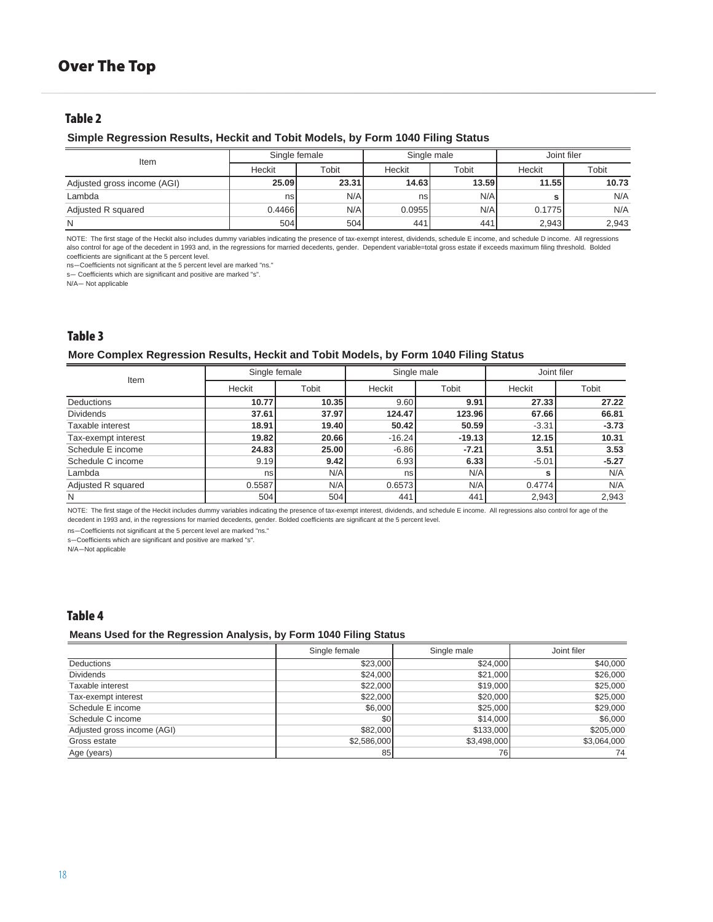## **Table 2**

#### **Simple Regression Results, Heckit and Tobit Models, by Form 1040 Filing Status**

| Item                        | Single female |       | Single male |       | Joint filer |       |
|-----------------------------|---------------|-------|-------------|-------|-------------|-------|
|                             | Heckit        | Tobit | Heckit      | Tobit | Heckit      | Tobit |
| Adjusted gross income (AGI) | 25.09         | 23.31 | 14.63       | 13.59 | 11.55       | 10.73 |
| Lambda                      | nsl           | N/A   | ns          | N/A   |             | N/A   |
| Adjusted R squared          | 0.4466        | N/A   | 0.0955      | N/A   | 0.1775      | N/A   |
| N                           | 504           | 504   | 441         | 441   | 2,943       | 2.943 |

NOTE: The first stage of the Heckit also includes dummy variables indicating the presence of tax-exempt interest, dividends, schedule E income, and schedule D income. All regressions also control for age of the decedent in 1993 and, in the regressions for married decedents, gender. Dependent variable=total gross estate if exceeds maximum filing threshold. Bolded coefficients are significant at the 5 percent level.

ns—Coefficients not significant at the 5 percent level are marked "ns."

s— Coefficients which are significant and positive are marked "s".

N/A— Not applicable

# **Table 3**

#### **More Complex Regression Results, Heckit and Tobit Models, by Form 1040 Filing Status**

| Item                | Single female |       | Single male |          | Joint filer |         |
|---------------------|---------------|-------|-------------|----------|-------------|---------|
|                     | Heckit        | Tobit | Heckit      | Tobit    | Heckit      | Tobit   |
| <b>Deductions</b>   | 10.77         | 10.35 | 9.60        | 9.91     | 27.33       | 27.22   |
| <b>Dividends</b>    | 37.61         | 37.97 | 124.47      | 123.96   | 67.66       | 66.81   |
| Taxable interest    | 18.91         | 19.40 | 50.42       | 50.59    | $-3.31$     | $-3.73$ |
| Tax-exempt interest | 19.82         | 20.66 | $-16.24$    | $-19.13$ | 12.15       | 10.31   |
| Schedule E income   | 24.83         | 25.00 | $-6.86$     | $-7.21$  | 3.51        | 3.53    |
| Schedule C income   | 9.19          | 9.42  | 6.93        | 6.33     | $-5.01$     | $-5.27$ |
| Lambda              | nsl           | N/A   | ns          | N/A      | s           | N/A     |
| Adjusted R squared  | 0.5587        | N/A   | 0.6573      | N/A      | 0.4774      | N/A     |
| N                   | 504           | 504   | 441         | 441      | 2,943       | 2,943   |

NOTE: The first stage of the Heckit includes dummy variables indicating the presence of tax-exempt interest, dividends, and schedule E income. All regressions also control for age of the decedent in 1993 and, in the regressions for married decedents, gender. Bolded coefficients are significant at the 5 percent level.

ns—Coefficients not significant at the 5 percent level are marked "ns."

s—Coefficients which are significant and positive are marked "s".

N/A—Not applicable

## **Table 4**

#### **Means Used for the Regression Analysis, by Form 1040 Filing Status**

|                             | Single female | Single male | Joint filer |
|-----------------------------|---------------|-------------|-------------|
| <b>Deductions</b>           | \$23,000      | \$24,000    | \$40,000    |
| <b>Dividends</b>            | \$24,000      | \$21,000    | \$26,000    |
| Taxable interest            | \$22,000      | \$19,000    | \$25,000    |
| Tax-exempt interest         | \$22,000      | \$20,000    | \$25,000    |
| Schedule E income           | \$6,000       | \$25,000    | \$29,000    |
| Schedule C income           | \$0           | \$14,000    | \$6,000     |
| Adjusted gross income (AGI) | \$82,000      | \$133,000   | \$205.000   |
| Gross estate                | \$2,586,000   | \$3,498,000 | \$3,064,000 |
| Age (years)                 | 85            | 76          | 74          |